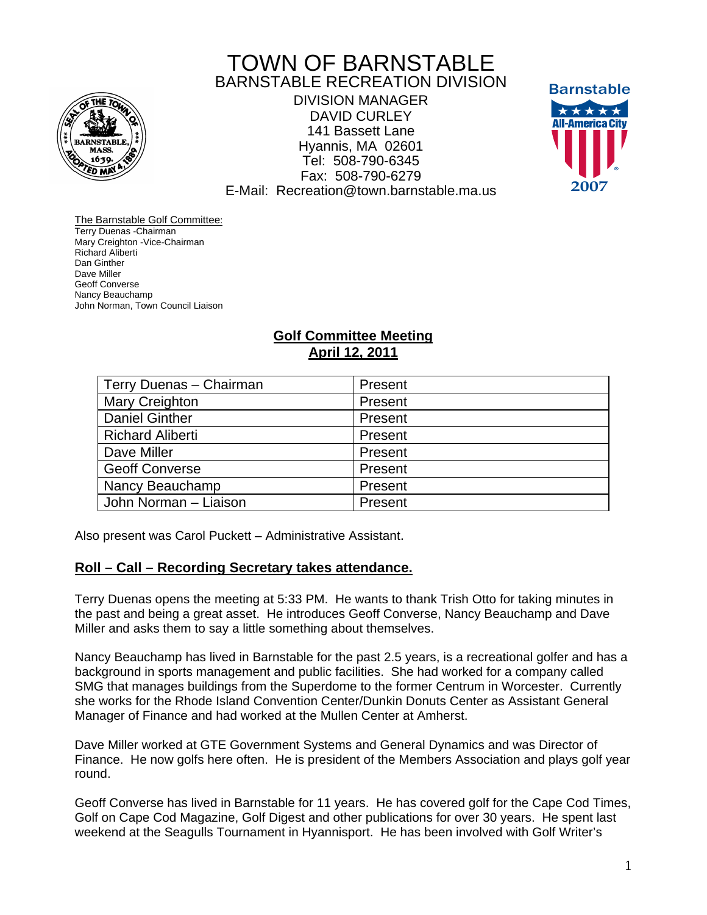

# TOWN OF BARNSTABLE BARNSTABLE RECREATION DIVISION

DIVISION MANAGER DAVID CURLEY 141 Bassett Lane Hyannis, MA 02601 Tel: 508-790-6345 Fax: 508-790-6279 E-Mail: Recreation@town.barnstable.ma.us



The Barnstable Golf Committee: Terry Duenas -Chairman Mary Creighton -Vice-Chairman Richard Aliberti Dan Ginther Dave Miller Geoff Converse Nancy Beauchamp John Norman, Town Council Liaison

## **Golf Committee Meeting April 12, 2011**

| Terry Duenas - Chairman | Present |
|-------------------------|---------|
| Mary Creighton          | Present |
| <b>Daniel Ginther</b>   | Present |
| <b>Richard Aliberti</b> | Present |
| Dave Miller             | Present |
| <b>Geoff Converse</b>   | Present |
| Nancy Beauchamp         | Present |
| John Norman - Liaison   | Present |

Also present was Carol Puckett – Administrative Assistant.

### **Roll – Call – Recording Secretary takes attendance.**

Terry Duenas opens the meeting at 5:33 PM. He wants to thank Trish Otto for taking minutes in the past and being a great asset. He introduces Geoff Converse, Nancy Beauchamp and Dave Miller and asks them to say a little something about themselves.

Nancy Beauchamp has lived in Barnstable for the past 2.5 years, is a recreational golfer and has a background in sports management and public facilities. She had worked for a company called SMG that manages buildings from the Superdome to the former Centrum in Worcester. Currently she works for the Rhode Island Convention Center/Dunkin Donuts Center as Assistant General Manager of Finance and had worked at the Mullen Center at Amherst.

Dave Miller worked at GTE Government Systems and General Dynamics and was Director of Finance. He now golfs here often. He is president of the Members Association and plays golf year round.

Geoff Converse has lived in Barnstable for 11 years. He has covered golf for the Cape Cod Times, Golf on Cape Cod Magazine, Golf Digest and other publications for over 30 years. He spent last weekend at the Seagulls Tournament in Hyannisport. He has been involved with Golf Writer's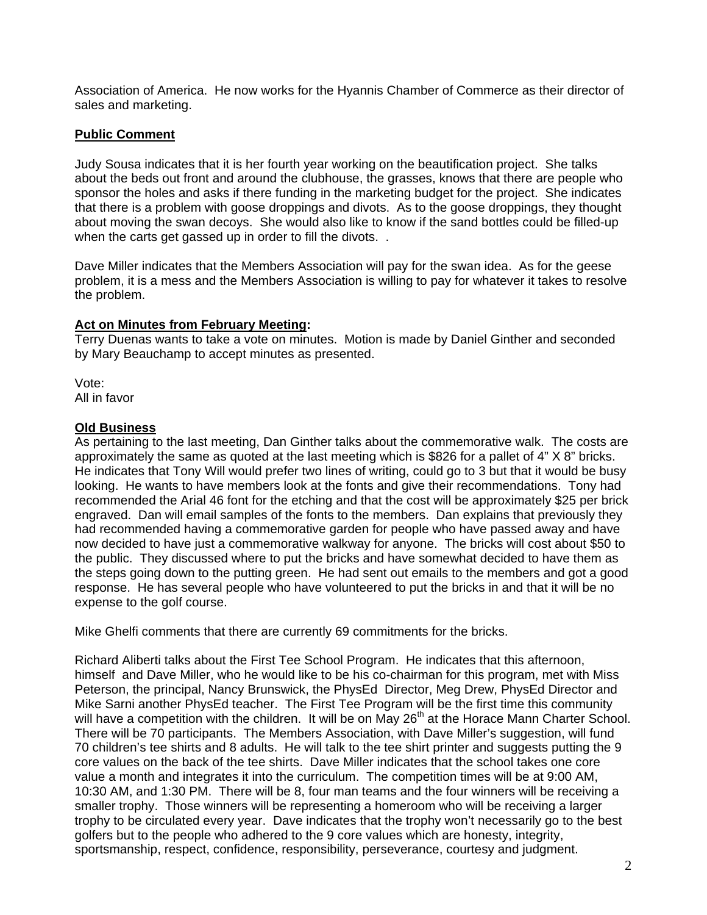Association of America. He now works for the Hyannis Chamber of Commerce as their director of sales and marketing.

### **Public Comment**

Judy Sousa indicates that it is her fourth year working on the beautification project. She talks about the beds out front and around the clubhouse, the grasses, knows that there are people who sponsor the holes and asks if there funding in the marketing budget for the project. She indicates that there is a problem with goose droppings and divots. As to the goose droppings, they thought about moving the swan decoys. She would also like to know if the sand bottles could be filled-up when the carts get gassed up in order to fill the divots...

Dave Miller indicates that the Members Association will pay for the swan idea. As for the geese problem, it is a mess and the Members Association is willing to pay for whatever it takes to resolve the problem.

#### **Act on Minutes from February Meeting:**

Terry Duenas wants to take a vote on minutes. Motion is made by Daniel Ginther and seconded by Mary Beauchamp to accept minutes as presented.

Vote: All in favor

#### **Old Business**

As pertaining to the last meeting, Dan Ginther talks about the commemorative walk. The costs are approximately the same as quoted at the last meeting which is \$826 for a pallet of 4" X 8" bricks. He indicates that Tony Will would prefer two lines of writing, could go to 3 but that it would be busy looking. He wants to have members look at the fonts and give their recommendations. Tony had recommended the Arial 46 font for the etching and that the cost will be approximately \$25 per brick engraved. Dan will email samples of the fonts to the members. Dan explains that previously they had recommended having a commemorative garden for people who have passed away and have now decided to have just a commemorative walkway for anyone. The bricks will cost about \$50 to the public. They discussed where to put the bricks and have somewhat decided to have them as the steps going down to the putting green. He had sent out emails to the members and got a good response. He has several people who have volunteered to put the bricks in and that it will be no expense to the golf course.

Mike Ghelfi comments that there are currently 69 commitments for the bricks.

Richard Aliberti talks about the First Tee School Program. He indicates that this afternoon, himself and Dave Miller, who he would like to be his co-chairman for this program, met with Miss Peterson, the principal, Nancy Brunswick, the PhysEd Director, Meg Drew, PhysEd Director and Mike Sarni another PhysEd teacher. The First Tee Program will be the first time this community will have a competition with the children. It will be on May 26<sup>th</sup> at the Horace Mann Charter School. There will be 70 participants. The Members Association, with Dave Miller's suggestion, will fund 70 children's tee shirts and 8 adults. He will talk to the tee shirt printer and suggests putting the 9 core values on the back of the tee shirts. Dave Miller indicates that the school takes one core value a month and integrates it into the curriculum. The competition times will be at 9:00 AM, 10:30 AM, and 1:30 PM. There will be 8, four man teams and the four winners will be receiving a smaller trophy. Those winners will be representing a homeroom who will be receiving a larger trophy to be circulated every year. Dave indicates that the trophy won't necessarily go to the best golfers but to the people who adhered to the 9 core values which are honesty, integrity, sportsmanship, respect, confidence, responsibility, perseverance, courtesy and judgment.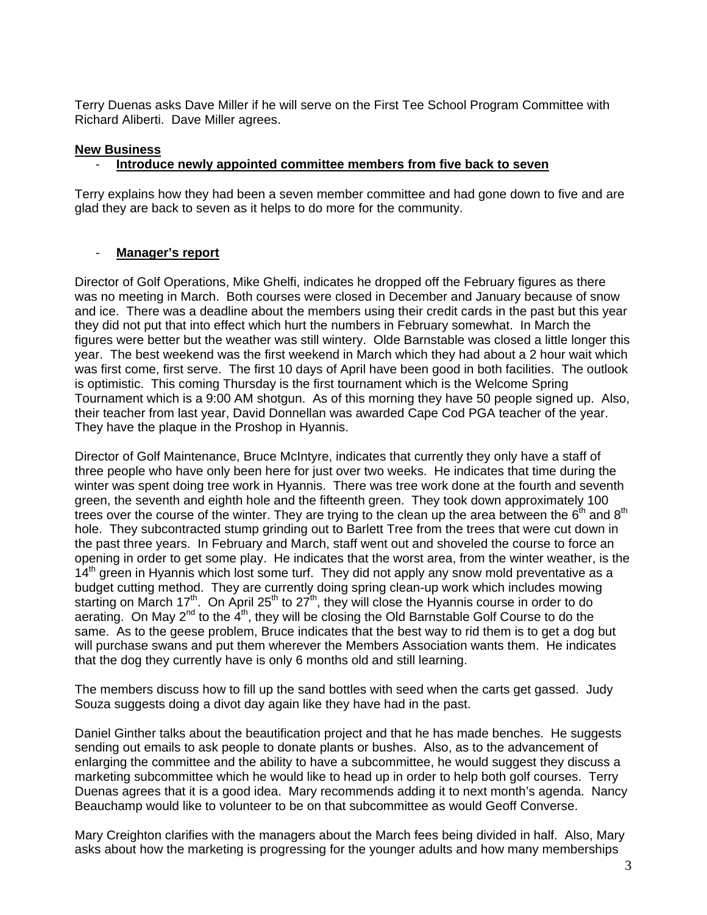Terry Duenas asks Dave Miller if he will serve on the First Tee School Program Committee with Richard Aliberti. Dave Miller agrees.

#### **New Business**

#### - **Introduce newly appointed committee members from five back to seven**

Terry explains how they had been a seven member committee and had gone down to five and are glad they are back to seven as it helps to do more for the community.

#### - **Manager's report**

Director of Golf Operations, Mike Ghelfi, indicates he dropped off the February figures as there was no meeting in March. Both courses were closed in December and January because of snow and ice. There was a deadline about the members using their credit cards in the past but this year they did not put that into effect which hurt the numbers in February somewhat. In March the figures were better but the weather was still wintery. Olde Barnstable was closed a little longer this year. The best weekend was the first weekend in March which they had about a 2 hour wait which was first come, first serve. The first 10 days of April have been good in both facilities. The outlook is optimistic. This coming Thursday is the first tournament which is the Welcome Spring Tournament which is a 9:00 AM shotgun. As of this morning they have 50 people signed up. Also, their teacher from last year, David Donnellan was awarded Cape Cod PGA teacher of the year. They have the plaque in the Proshop in Hyannis.

Director of Golf Maintenance, Bruce McIntyre, indicates that currently they only have a staff of three people who have only been here for just over two weeks. He indicates that time during the winter was spent doing tree work in Hyannis. There was tree work done at the fourth and seventh green, the seventh and eighth hole and the fifteenth green. They took down approximately 100 trees over the course of the winter. They are trying to the clean up the area between the  $6<sup>th</sup>$  and  $8<sup>th</sup>$ hole. They subcontracted stump grinding out to Barlett Tree from the trees that were cut down in the past three years. In February and March, staff went out and shoveled the course to force an opening in order to get some play. He indicates that the worst area, from the winter weather, is the  $14<sup>th</sup>$  green in Hyannis which lost some turf. They did not apply any snow mold preventative as a budget cutting method. They are currently doing spring clean-up work which includes mowing starting on March 17<sup>th</sup>. On April 25<sup>th</sup> to 27<sup>th</sup>, they will close the Hyannis course in order to do aerating. On May 2<sup>nd</sup> to the 4<sup>th</sup>, they will be closing the Old Barnstable Golf Course to do the same. As to the geese problem, Bruce indicates that the best way to rid them is to get a dog but will purchase swans and put them wherever the Members Association wants them. He indicates that the dog they currently have is only 6 months old and still learning.

The members discuss how to fill up the sand bottles with seed when the carts get gassed. Judy Souza suggests doing a divot day again like they have had in the past.

Daniel Ginther talks about the beautification project and that he has made benches. He suggests sending out emails to ask people to donate plants or bushes. Also, as to the advancement of enlarging the committee and the ability to have a subcommittee, he would suggest they discuss a marketing subcommittee which he would like to head up in order to help both golf courses. Terry Duenas agrees that it is a good idea. Mary recommends adding it to next month's agenda. Nancy Beauchamp would like to volunteer to be on that subcommittee as would Geoff Converse.

Mary Creighton clarifies with the managers about the March fees being divided in half. Also, Mary asks about how the marketing is progressing for the younger adults and how many memberships